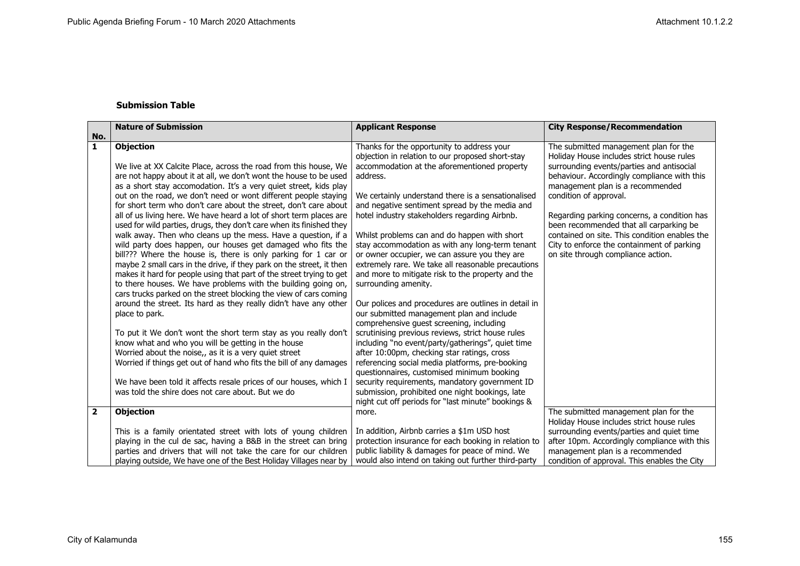## **Submission Table**

|                         | <b>Nature of Submission</b>                                          | <b>Applicant Response</b>                            | <b>City Response/Recommendation</b>           |
|-------------------------|----------------------------------------------------------------------|------------------------------------------------------|-----------------------------------------------|
| No.                     |                                                                      |                                                      |                                               |
| $\mathbf{1}$            | <b>Objection</b>                                                     | Thanks for the opportunity to address your           | The submitted management plan for the         |
|                         |                                                                      | objection in relation to our proposed short-stay     | Holiday House includes strict house rules     |
|                         | We live at XX Calcite Place, across the road from this house, We     | accommodation at the aforementioned property         | surrounding events/parties and antisocial     |
|                         | are not happy about it at all, we don't wont the house to be used    | address.                                             | behaviour. Accordingly compliance with this   |
|                         | as a short stay accomodation. It's a very quiet street, kids play    |                                                      | management plan is a recommended              |
|                         | out on the road, we don't need or wont different people staying      | We certainly understand there is a sensationalised   | condition of approval.                        |
|                         | for short term who don't care about the street, don't care about     | and negative sentiment spread by the media and       |                                               |
|                         | all of us living here. We have heard a lot of short term places are  | hotel industry stakeholders regarding Airbnb.        | Regarding parking concerns, a condition has   |
|                         | used for wild parties, drugs, they don't care when its finished they |                                                      | been recommended that all carparking be       |
|                         | walk away. Then who cleans up the mess. Have a question, if a        | Whilst problems can and do happen with short         | contained on site. This condition enables the |
|                         | wild party does happen, our houses get damaged who fits the          | stay accommodation as with any long-term tenant      | City to enforce the containment of parking    |
|                         | bill??? Where the house is, there is only parking for 1 car or       | or owner occupier, we can assure you they are        | on site through compliance action.            |
|                         | maybe 2 small cars in the drive, if they park on the street, it then | extremely rare. We take all reasonable precautions   |                                               |
|                         | makes it hard for people using that part of the street trying to get | and more to mitigate risk to the property and the    |                                               |
|                         | to there houses. We have problems with the building going on,        | surrounding amenity.                                 |                                               |
|                         | cars trucks parked on the street blocking the view of cars coming    |                                                      |                                               |
|                         | around the street. Its hard as they really didn't have any other     | Our polices and procedures are outlines in detail in |                                               |
|                         | place to park.                                                       | our submitted management plan and include            |                                               |
|                         |                                                                      | comprehensive guest screening, including             |                                               |
|                         | To put it We don't wont the short term stay as you really don't      | scrutinising previous reviews, strict house rules    |                                               |
|                         | know what and who you will be getting in the house                   | including "no event/party/gatherings", quiet time    |                                               |
|                         | Worried about the noise,, as it is a very quiet street               | after 10:00pm, checking star ratings, cross          |                                               |
|                         | Worried if things get out of hand who fits the bill of any damages   | referencing social media platforms, pre-booking      |                                               |
|                         |                                                                      | questionnaires, customised minimum booking           |                                               |
|                         | We have been told it affects resale prices of our houses, which I    | security requirements, mandatory government ID       |                                               |
|                         | was told the shire does not care about. But we do                    | submission, prohibited one night bookings, late      |                                               |
|                         |                                                                      | night cut off periods for "last minute" bookings &   |                                               |
| $\overline{\mathbf{2}}$ | <b>Objection</b>                                                     | more.                                                | The submitted management plan for the         |
|                         |                                                                      |                                                      | Holiday House includes strict house rules     |
|                         | This is a family orientated street with lots of young children       | In addition, Airbnb carries a \$1m USD host          | surrounding events/parties and quiet time     |
|                         | playing in the cul de sac, having a B&B in the street can bring      | protection insurance for each booking in relation to | after 10pm. Accordingly compliance with this  |
|                         | parties and drivers that will not take the care for our children     | public liability & damages for peace of mind. We     | management plan is a recommended              |
|                         | playing outside, We have one of the Best Holiday Villages near by    | would also intend on taking out further third-party  | condition of approval. This enables the City  |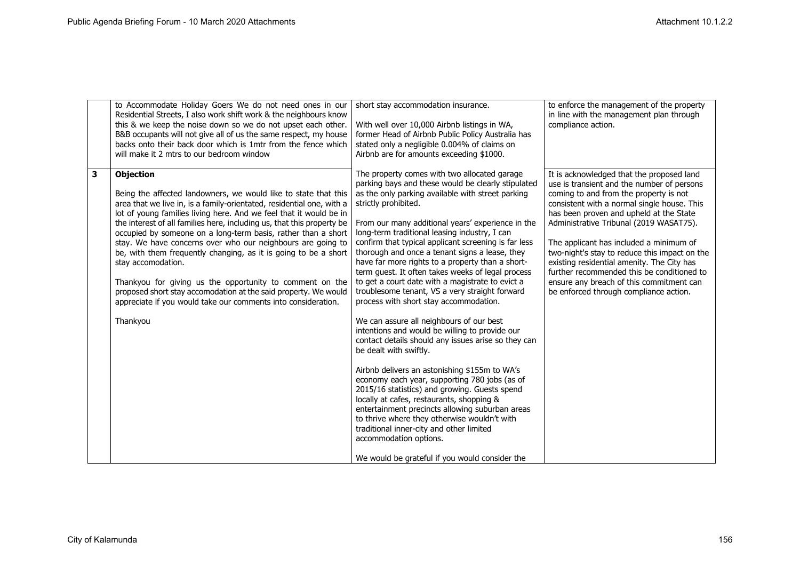|   | to Accommodate Holiday Goers We do not need ones in our<br>Residential Streets, I also work shift work & the neighbours know<br>this & we keep the noise down so we do not upset each other.<br>B&B occupants will not give all of us the same respect, my house<br>backs onto their back door which is 1mtr from the fence which<br>will make it 2 mtrs to our bedroom window                                                                                                                                                                                                                                                                                                                                                                    | short stay accommodation insurance.<br>With well over 10,000 Airbnb listings in WA,<br>former Head of Airbnb Public Policy Australia has<br>stated only a negligible 0.004% of claims on<br>Airbnb are for amounts exceeding \$1000.                                                                                                                                                                                                                                                                                                                                                                                                                                                                                                                                                                                                                                                                                                                                                                                                                                                                                                                                                                                                                               | to enforce the management of the property<br>in line with the management plan through<br>compliance action.                                                                                                                                                                                                                                                                                                                                                                                                                                          |
|---|---------------------------------------------------------------------------------------------------------------------------------------------------------------------------------------------------------------------------------------------------------------------------------------------------------------------------------------------------------------------------------------------------------------------------------------------------------------------------------------------------------------------------------------------------------------------------------------------------------------------------------------------------------------------------------------------------------------------------------------------------|--------------------------------------------------------------------------------------------------------------------------------------------------------------------------------------------------------------------------------------------------------------------------------------------------------------------------------------------------------------------------------------------------------------------------------------------------------------------------------------------------------------------------------------------------------------------------------------------------------------------------------------------------------------------------------------------------------------------------------------------------------------------------------------------------------------------------------------------------------------------------------------------------------------------------------------------------------------------------------------------------------------------------------------------------------------------------------------------------------------------------------------------------------------------------------------------------------------------------------------------------------------------|------------------------------------------------------------------------------------------------------------------------------------------------------------------------------------------------------------------------------------------------------------------------------------------------------------------------------------------------------------------------------------------------------------------------------------------------------------------------------------------------------------------------------------------------------|
| 3 | <b>Objection</b><br>Being the affected landowners, we would like to state that this<br>area that we live in, is a family-orientated, residential one, with a<br>lot of young families living here. And we feel that it would be in<br>the interest of all families here, including us, that this property be<br>occupied by someone on a long-term basis, rather than a short<br>stay. We have concerns over who our neighbours are going to<br>be, with them frequently changing, as it is going to be a short<br>stay accomodation.<br>Thankyou for giving us the opportunity to comment on the<br>proposed short stay accomodation at the said property. We would<br>appreciate if you would take our comments into consideration.<br>Thankyou | The property comes with two allocated garage<br>parking bays and these would be clearly stipulated<br>as the only parking available with street parking<br>strictly prohibited.<br>From our many additional years' experience in the<br>long-term traditional leasing industry, I can<br>confirm that typical applicant screening is far less<br>thorough and once a tenant signs a lease, they<br>have far more rights to a property than a short-<br>term guest. It often takes weeks of legal process<br>to get a court date with a magistrate to evict a<br>troublesome tenant, VS a very straight forward<br>process with short stay accommodation.<br>We can assure all neighbours of our best<br>intentions and would be willing to provide our<br>contact details should any issues arise so they can<br>be dealt with swiftly.<br>Airbnb delivers an astonishing \$155m to WA's<br>economy each year, supporting 780 jobs (as of<br>2015/16 statistics) and growing. Guests spend<br>locally at cafes, restaurants, shopping &<br>entertainment precincts allowing suburban areas<br>to thrive where they otherwise wouldn't with<br>traditional inner-city and other limited<br>accommodation options.<br>We would be grateful if you would consider the | It is acknowledged that the proposed land<br>use is transient and the number of persons<br>coming to and from the property is not<br>consistent with a normal single house. This<br>has been proven and upheld at the State<br>Administrative Tribunal (2019 WASAT75).<br>The applicant has included a minimum of<br>two-night's stay to reduce this impact on the<br>existing residential amenity. The City has<br>further recommended this be conditioned to<br>ensure any breach of this commitment can<br>be enforced through compliance action. |